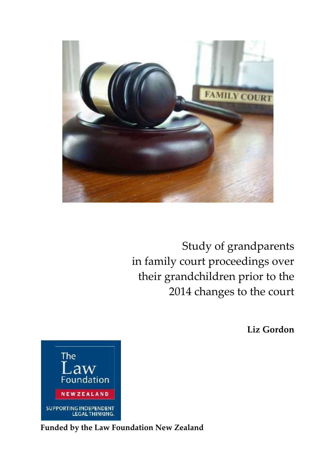

Study of grandparents in family court proceedings over their grandchildren prior to the 2014 changes to the court

**Liz Gordon**



**Funded by the Law Foundation New Zealand**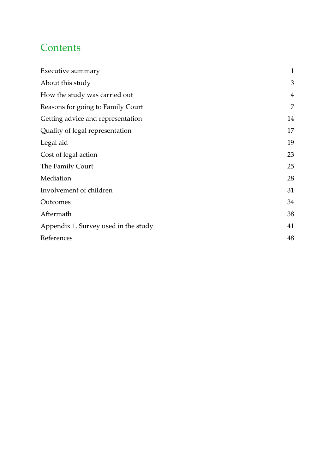## **Contents**

| Executive summary                    | $\mathbf{1}$ |
|--------------------------------------|--------------|
| About this study                     | 3            |
| How the study was carried out        | 4            |
| Reasons for going to Family Court    | 7            |
| Getting advice and representation    | 14           |
| Quality of legal representation      | 17           |
| Legal aid                            | 19           |
| Cost of legal action                 | 23           |
| The Family Court                     | 25           |
| Mediation                            | 28           |
| Involvement of children              | 31           |
| Outcomes                             | 34           |
| Aftermath                            | 38           |
| Appendix 1. Survey used in the study | 41           |
| References                           | 48           |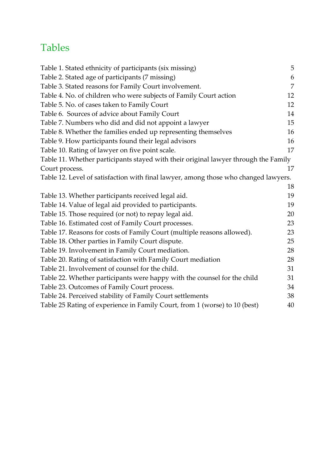## Tables

| Table 1. Stated ethnicity of participants (six missing)                             | 5  |  |
|-------------------------------------------------------------------------------------|----|--|
| Table 2. Stated age of participants (7 missing)                                     | 6  |  |
| Table 3. Stated reasons for Family Court involvement.                               | 7  |  |
| Table 4. No. of children who were subjects of Family Court action                   | 12 |  |
| Table 5. No. of cases taken to Family Court                                         | 12 |  |
| Table 6. Sources of advice about Family Court                                       | 14 |  |
| Table 7. Numbers who did and did not appoint a lawyer                               | 15 |  |
| Table 8. Whether the families ended up representing themselves                      | 16 |  |
| Table 9. How participants found their legal advisors                                | 16 |  |
| Table 10. Rating of lawyer on five point scale.                                     | 17 |  |
| Table 11. Whether participants stayed with their original lawyer through the Family |    |  |
| Court process.                                                                      | 17 |  |
| Table 12. Level of satisfaction with final lawyer, among those who changed lawyers. |    |  |
|                                                                                     | 18 |  |
| Table 13. Whether participants received legal aid.                                  | 19 |  |
| Table 14. Value of legal aid provided to participants.                              | 19 |  |
| Table 15. Those required (or not) to repay legal aid.                               | 20 |  |
| Table 16. Estimated cost of Family Court processes.                                 | 23 |  |
| Table 17. Reasons for costs of Family Court (multiple reasons allowed).             | 23 |  |
| Table 18. Other parties in Family Court dispute.                                    | 25 |  |
| Table 19. Involvement in Family Court mediation.                                    | 28 |  |
| Table 20. Rating of satisfaction with Family Court mediation                        | 28 |  |
| Table 21. Involvement of counsel for the child.                                     | 31 |  |
| Table 22. Whether participants were happy with the counsel for the child            | 31 |  |
| Table 23. Outcomes of Family Court process.                                         | 34 |  |
| Table 24. Perceived stability of Family Court settlements                           | 38 |  |
| Table 25 Rating of experience in Family Court, from 1 (worse) to 10 (best)          | 40 |  |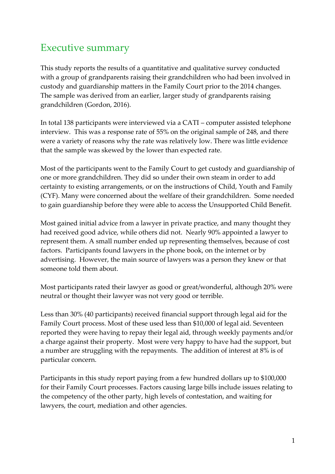## Executive summary

This study reports the results of a quantitative and qualitative survey conducted with a group of grandparents raising their grandchildren who had been involved in custody and guardianship matters in the Family Court prior to the 2014 changes. The sample was derived from an earlier, larger study of grandparents raising grandchildren (Gordon, 2016).

In total 138 participants were interviewed via a CATI – computer assisted telephone interview. This was a response rate of 55% on the original sample of 248, and there were a variety of reasons why the rate was relatively low. There was little evidence that the sample was skewed by the lower than expected rate.

Most of the participants went to the Family Court to get custody and guardianship of one or more grandchildren. They did so under their own steam in order to add certainty to existing arrangements, or on the instructions of Child, Youth and Family (CYF). Many were concerned about the welfare of their grandchildren. Some needed to gain guardianship before they were able to access the Unsupported Child Benefit.

Most gained initial advice from a lawyer in private practice, and many thought they had received good advice, while others did not. Nearly 90% appointed a lawyer to represent them. A small number ended up representing themselves, because of cost factors. Participants found lawyers in the phone book, on the internet or by advertising. However, the main source of lawyers was a person they knew or that someone told them about.

Most participants rated their lawyer as good or great/wonderful, although 20% were neutral or thought their lawyer was not very good or terrible.

Less than 30% (40 participants) received financial support through legal aid for the Family Court process. Most of these used less than \$10,000 of legal aid. Seventeen reported they were having to repay their legal aid, through weekly payments and/or a charge against their property. Most were very happy to have had the support, but a number are struggling with the repayments. The addition of interest at 8% is of particular concern.

Participants in this study report paying from a few hundred dollars up to \$100,000 for their Family Court processes. Factors causing large bills include issues relating to the competency of the other party, high levels of contestation, and waiting for lawyers, the court, mediation and other agencies.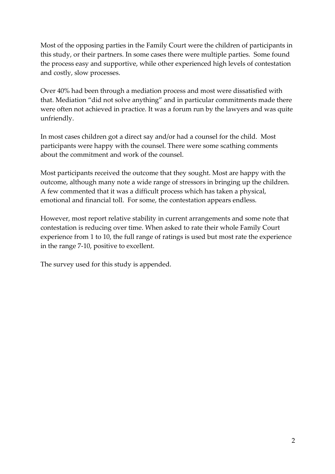Most of the opposing parties in the Family Court were the children of participants in this study, or their partners. In some cases there were multiple parties. Some found the process easy and supportive, while other experienced high levels of contestation and costly, slow processes.

Over 40% had been through a mediation process and most were dissatisfied with that. Mediation "did not solve anything" and in particular commitments made there were often not achieved in practice. It was a forum run by the lawyers and was quite unfriendly.

In most cases children got a direct say and/or had a counsel for the child. Most participants were happy with the counsel. There were some scathing comments about the commitment and work of the counsel.

Most participants received the outcome that they sought. Most are happy with the outcome, although many note a wide range of stressors in bringing up the children. A few commented that it was a difficult process which has taken a physical, emotional and financial toll. For some, the contestation appears endless.

However, most report relative stability in current arrangements and some note that contestation is reducing over time. When asked to rate their whole Family Court experience from 1 to 10, the full range of ratings is used but most rate the experience in the range 7-10, positive to excellent.

The survey used for this study is appended.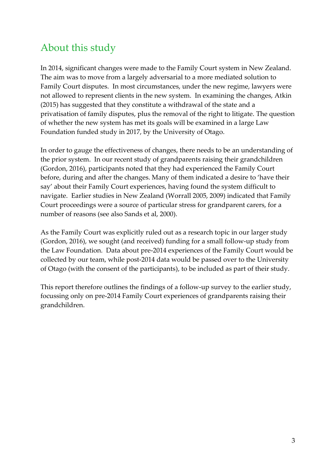## About this study

In 2014, significant changes were made to the Family Court system in New Zealand. The aim was to move from a largely adversarial to a more mediated solution to Family Court disputes. In most circumstances, under the new regime, lawyers were not allowed to represent clients in the new system. In examining the changes, Atkin (2015) has suggested that they constitute a withdrawal of the state and a privatisation of family disputes, plus the removal of the right to litigate. The question of whether the new system has met its goals will be examined in a large Law Foundation funded study in 2017, by the University of Otago.

In order to gauge the effectiveness of changes, there needs to be an understanding of the prior system. In our recent study of grandparents raising their grandchildren (Gordon, 2016), participants noted that they had experienced the Family Court before, during and after the changes. Many of them indicated a desire to 'have their say' about their Family Court experiences, having found the system difficult to navigate. Earlier studies in New Zealand (Worrall 2005, 2009) indicated that Family Court proceedings were a source of particular stress for grandparent carers, for a number of reasons (see also Sands et al, 2000).

As the Family Court was explicitly ruled out as a research topic in our larger study (Gordon, 2016), we sought (and received) funding for a small follow-up study from the Law Foundation. Data about pre-2014 experiences of the Family Court would be collected by our team, while post-2014 data would be passed over to the University of Otago (with the consent of the participants), to be included as part of their study.

This report therefore outlines the findings of a follow-up survey to the earlier study, focussing only on pre-2014 Family Court experiences of grandparents raising their grandchildren.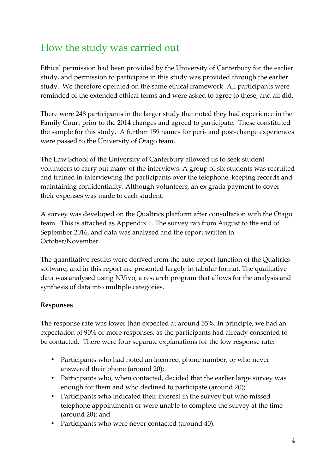## How the study was carried out

Ethical permission had been provided by the University of Canterbury for the earlier study, and permission to participate in this study was provided through the earlier study. We therefore operated on the same ethical framework. All participants were reminded of the extended ethical terms and were asked to agree to these, and all did.

There were 248 participants in the larger study that noted they had experience in the Family Court prior to the 2014 changes and agreed to participate. These constituted the sample for this study. A further 159 names for peri- and post-change experiences were passed to the University of Otago team.

The Law School of the University of Canterbury allowed us to seek student volunteers to carry out many of the interviews. A group of six students was recruited and trained in interviewing the participants over the telephone, keeping records and maintaining confidentiality. Although volunteers, an ex gratia payment to cover their expenses was made to each student.

A survey was developed on the Qualtrics platform after consultation with the Otago team. This is attached as Appendix 1. The survey ran from August to the end of September 2016, and data was analysed and the report written in October/November.

The quantitative results were derived from the auto-report function of the Qualtrics software, and in this report are presented largely in tabular format. The qualitative data was analysed using NVivo, a research program that allows for the analysis and synthesis of data into multiple categories.

## **Responses**

The response rate was lower than expected at around 55%. In principle, we had an expectation of 90% or more responses, as the participants had already consented to be contacted. There were four separate explanations for the low response rate:

- Participants who had noted an incorrect phone number, or who never answered their phone (around 20);
- Participants who, when contacted, decided that the earlier large survey was enough for them and who declined to participate (around 20);
- Participants who indicated their interest in the survey but who missed telephone appointments or were unable to complete the survey at the time (around 20); and
- Participants who were never contacted (around 40).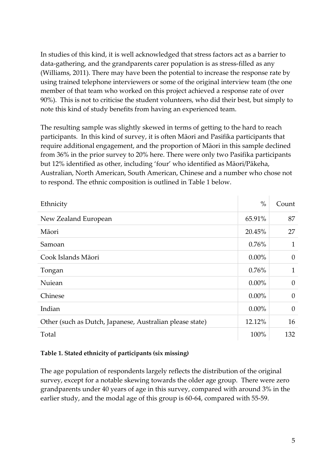In studies of this kind, it is well acknowledged that stress factors act as a barrier to data-gathering, and the grandparents carer population is as stress-filled as any (Williams, 2011). There may have been the potential to increase the response rate by using trained telephone interviewers or some of the original interview team (the one member of that team who worked on this project achieved a response rate of over 90%). This is not to criticise the student volunteers, who did their best, but simply to note this kind of study benefits from having an experienced team.

The resulting sample was slightly skewed in terms of getting to the hard to reach participants. In this kind of survey, it is often Māori and Pasifika participants that require additional engagement, and the proportion of Māori in this sample declined from 36% in the prior survey to 20% here. There were only two Pasifika participants but 12% identified as other, including 'four' who identified as Māori/Pākeha, Australian, North American, South American, Chinese and a number who chose not to respond. The ethnic composition is outlined in Table 1 below.

| Ethnicity                                                | $\%$     | Count          |
|----------------------------------------------------------|----------|----------------|
| New Zealand European                                     | 65.91%   | 87             |
| Māori                                                    | 20.45%   | 27             |
| Samoan                                                   | 0.76%    | $\mathbf{1}$   |
| Cook Islands Māori                                       | $0.00\%$ | 0              |
| Tongan                                                   | 0.76%    | $\mathbf{1}$   |
| Nuiean                                                   | $0.00\%$ | $\theta$       |
| Chinese                                                  | $0.00\%$ | $\overline{0}$ |
| Indian                                                   | $0.00\%$ | $\theta$       |
| Other (such as Dutch, Japanese, Australian please state) | 12.12%   | 16             |
| Total                                                    | 100%     | 132            |

#### **Table 1. Stated ethnicity of participants (six missing)**

The age population of respondents largely reflects the distribution of the original survey, except for a notable skewing towards the older age group. There were zero grandparents under 40 years of age in this survey, compared with around 3% in the earlier study, and the modal age of this group is 60-64, compared with 55-59.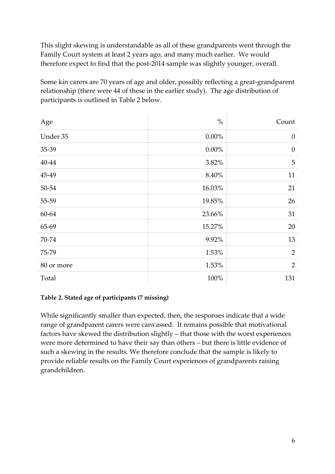This slight skewing is understandable as all of these grandparents went through the Family Court system at least 2 years ago, and many much earlier. We would therefore expect to find that the post-2014 sample was slightly younger, overall.

Some kin carers are 70 years of age and older, possibly reflecting a great-grandparent relationship (there were 44 of these in the earlier study). The age distribution of participants is outlined in Table 2 below.

| Age        | $\%$     | Count            |
|------------|----------|------------------|
| Under 35   | $0.00\%$ | $\boldsymbol{0}$ |
| 35-39      | $0.00\%$ | $\boldsymbol{0}$ |
| 40-44      | 3.82%    | 5                |
| 45-49      | 8.40%    | 11               |
| 50-54      | 16.03%   | 21               |
| 55-59      | 19.85%   | 26               |
| 60-64      | 23.66%   | 31               |
| 65-69      | 15.27%   | 20               |
| 70-74      | 9.92%    | 13               |
| 75-79      | 1.53%    | $\overline{2}$   |
| 80 or more | 1.53%    | $\overline{2}$   |
| Total      | 100%     | 131              |

## **Table 2. Stated age of participants (7 missing)**

While significantly smaller than expected, then, the responses indicate that a wide range of grandparent carers were canvassed. It remains possible that motivational factors have skewed the distribution slightly – that those with the worst experiences were more determined to have their say than others – but there is little evidence of such a skewing in the results. We therefore conclude that the sample is likely to provide reliable results on the Family Court experiences of grandparents raising grandchildren.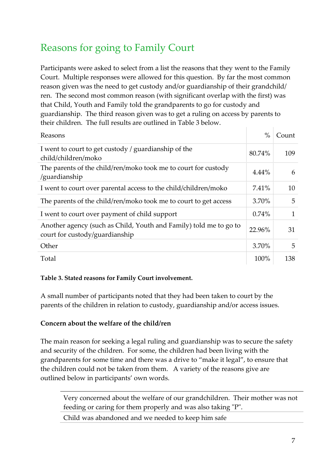## Reasons for going to Family Court

Participants were asked to select from a list the reasons that they went to the Family Court. Multiple responses were allowed for this question. By far the most common reason given was the need to get custody and/or guardianship of their grandchild/ ren. The second most common reason (with significant overlap with the first) was that Child, Youth and Family told the grandparents to go for custody and guardianship. The third reason given was to get a ruling on access by parents to their children. The full results are outlined in Table 3 below.

| Reasons                                                                                             | $\%$     | Count        |
|-----------------------------------------------------------------------------------------------------|----------|--------------|
| I went to court to get custody / guardianship of the<br>child/children/moko                         | 80.74%   | 109          |
| The parents of the child/ren/moko took me to court for custody<br>/guardianship                     | $4.44\%$ | 6            |
| I went to court over parental access to the child/children/moko                                     | 7.41%    | 10           |
| The parents of the child/ren/moko took me to court to get access                                    | $3.70\%$ | 5            |
| I went to court over payment of child support                                                       | 0.74%    | $\mathbf{1}$ |
| Another agency (such as Child, Youth and Family) told me to go to<br>court for custody/guardianship | 22.96%   | 31           |
| Other                                                                                               | 3.70%    | 5            |
| Total                                                                                               | 100%     | 138          |

## **Table 3. Stated reasons for Family Court involvement.**

A small number of participants noted that they had been taken to court by the parents of the children in relation to custody, guardianship and/or access issues.

## **Concern about the welfare of the child/ren**

The main reason for seeking a legal ruling and guardianship was to secure the safety and security of the children. For some, the children had been living with the grandparents for some time and there was a drive to "make it legal", to ensure that the children could not be taken from them. A variety of the reasons give are outlined below in participants' own words.

Very concerned about the welfare of our grandchildren. Their mother was not feeding or caring for them properly and was also taking "P".

Child was abandoned and we needed to keep him safe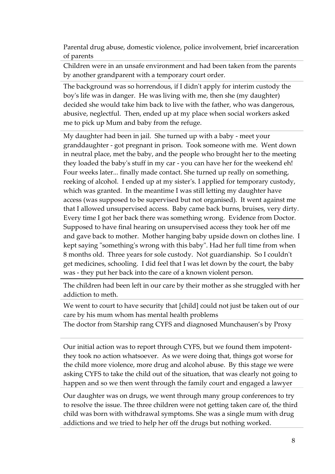Parental drug abuse, domestic violence, police involvement, brief incarceration of parents

Children were in an unsafe environment and had been taken from the parents by another grandparent with a temporary court order.

The background was so horrendous, if I didn't apply for interim custody the boy's life was in danger. He was living with me, then she (my daughter) decided she would take him back to live with the father, who was dangerous, abusive, neglectful. Then, ended up at my place when social workers asked me to pick up Mum and baby from the refuge.

My daughter had been in jail. She turned up with a baby - meet your granddaughter - got pregnant in prison. Took someone with me. Went down in neutral place, met the baby, and the people who brought her to the meeting they loaded the baby's stuff in my car - you can have her for the weekend eh! Four weeks later... finally made contact. She turned up really on something, reeking of alcohol. I ended up at my sister's. I applied for temporary custody, which was granted. In the meantime I was still letting my daughter have access (was supposed to be supervised but not organised). It went against me that I allowed unsupervised access. Baby came back burns, bruises, very dirty. Every time I got her back there was something wrong. Evidence from Doctor. Supposed to have final hearing on unsupervised access they took her off me and gave back to mother. Mother hanging baby upside down on clothes line. I kept saying "something's wrong with this baby". Had her full time from when 8 months old. Three years for sole custody. Not guardianship. So I couldn't get medicines, schooling. I did feel that I was let down by the court, the baby was - they put her back into the care of a known violent person.

The children had been left in our care by their mother as she struggled with her addiction to meth.

We went to court to have security that [child] could not just be taken out of our care by his mum whom has mental health problems

The doctor from Starship rang CYFS and diagnosed Munchausen's by Proxy

Our initial action was to report through CYFS, but we found them impotentthey took no action whatsoever. As we were doing that, things got worse for the child more violence, more drug and alcohol abuse. By this stage we were asking CYFS to take the child out of the situation, that was clearly not going to happen and so we then went through the family court and engaged a lawyer

Our daughter was on drugs, we went through many group conferences to try to resolve the issue. The three children were not getting taken care of, the third child was born with withdrawal symptoms. She was a single mum with drug addictions and we tried to help her off the drugs but nothing worked.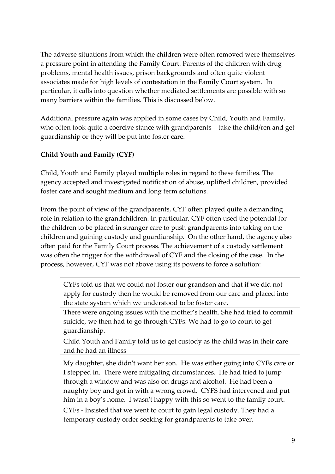The adverse situations from which the children were often removed were themselves a pressure point in attending the Family Court. Parents of the children with drug problems, mental health issues, prison backgrounds and often quite violent associates made for high levels of contestation in the Family Court system. In particular, it calls into question whether mediated settlements are possible with so many barriers within the families. This is discussed below.

Additional pressure again was applied in some cases by Child, Youth and Family, who often took quite a coercive stance with grandparents – take the child/ren and get guardianship or they will be put into foster care.

## **Child Youth and Family (CYF)**

Child, Youth and Family played multiple roles in regard to these families. The agency accepted and investigated notification of abuse, uplifted children, provided foster care and sought medium and long term solutions.

From the point of view of the grandparents, CYF often played quite a demanding role in relation to the grandchildren. In particular, CYF often used the potential for the children to be placed in stranger care to push grandparents into taking on the children and gaining custody and guardianship. On the other hand, the agency also often paid for the Family Court process. The achievement of a custody settlement was often the trigger for the withdrawal of CYF and the closing of the case. In the process, however, CYF was not above using its powers to force a solution:

CYFs told us that we could not foster our grandson and that if we did not apply for custody then he would be removed from our care and placed into the state system which we understood to be foster care.

There were ongoing issues with the mother's health. She had tried to commit suicide, we then had to go through CYFs. We had to go to court to get guardianship.

Child Youth and Family told us to get custody as the child was in their care and he had an illness

My daughter, she didn't want her son. He was either going into CYFs care or I stepped in. There were mitigating circumstances. He had tried to jump through a window and was also on drugs and alcohol. He had been a naughty boy and got in with a wrong crowd. CYFS had intervened and put him in a boy's home. I wasn't happy with this so went to the family court.

CYFs - Insisted that we went to court to gain legal custody. They had a temporary custody order seeking for grandparents to take over.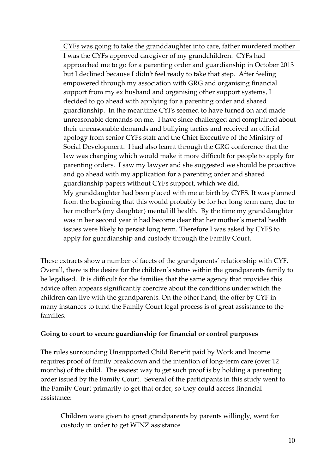CYFs was going to take the granddaughter into care, father murdered mother I was the CYFs approved caregiver of my grandchildren. CYFs had approached me to go for a parenting order and guardianship in October 2013 but I declined because I didn't feel ready to take that step. After feeling empowered through my association with GRG and organising financial support from my ex husband and organising other support systems, I decided to go ahead with applying for a parenting order and shared guardianship. In the meantime CYFs seemed to have turned on and made unreasonable demands on me. I have since challenged and complained about their unreasonable demands and bullying tactics and received an official apology from senior CYFs staff and the Chief Executive of the Ministry of Social Development. I had also learnt through the GRG conference that the law was changing which would make it more difficult for people to apply for parenting orders. I saw my lawyer and she suggested we should be proactive and go ahead with my application for a parenting order and shared guardianship papers without CYFs support, which we did.

My granddaughter had been placed with me at birth by CYFS. It was planned from the beginning that this would probably be for her long term care, due to her mother's (my daughter) mental ill health. By the time my granddaughter was in her second year it had become clear that her mother's mental health issues were likely to persist long term. Therefore I was asked by CYFS to apply for guardianship and custody through the Family Court.

These extracts show a number of facets of the grandparents' relationship with CYF. Overall, there is the desire for the children's status within the grandparents family to be legalised. It is difficult for the families that the same agency that provides this advice often appears significantly coercive about the conditions under which the children can live with the grandparents. On the other hand, the offer by CYF in many instances to fund the Family Court legal process is of great assistance to the families.

## **Going to court to secure guardianship for financial or control purposes**

The rules surrounding Unsupported Child Benefit paid by Work and Income requires proof of family breakdown and the intention of long-term care (over 12 months) of the child. The easiest way to get such proof is by holding a parenting order issued by the Family Court. Several of the participants in this study went to the Family Court primarily to get that order, so they could access financial assistance:

Children were given to great grandparents by parents willingly, went for custody in order to get WINZ assistance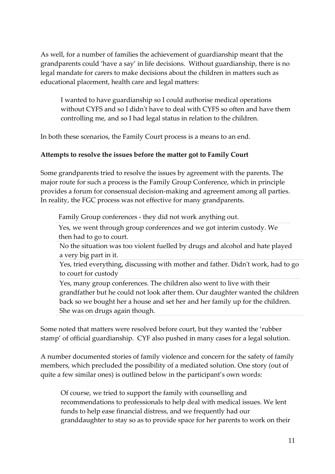As well, for a number of families the achievement of guardianship meant that the grandparents could 'have a say' in life decisions. Without guardianship, there is no legal mandate for carers to make decisions about the children in matters such as educational placement, health care and legal matters:

I wanted to have guardianship so I could authorise medical operations without CYFS and so I didn't have to deal with CYFS so often and have them controlling me, and so I had legal status in relation to the children.

In both these scenarios, the Family Court process is a means to an end.

## **Attempts to resolve the issues before the matter got to Family Court**

Some grandparents tried to resolve the issues by agreement with the parents. The major route for such a process is the Family Group Conference, which in principle provides a forum for consensual decision-making and agreement among all parties. In reality, the FGC process was not effective for many grandparents.

Family Group conferences - they did not work anything out.

Yes, we went through group conferences and we got interim custody. We then had to go to court.

No the situation was too violent fuelled by drugs and alcohol and hate played a very big part in it.

Yes, tried everything, discussing with mother and father. Didn't work, had to go to court for custody

Yes, many group conferences. The children also went to live with their grandfather but he could not look after them. Our daughter wanted the children back so we bought her a house and set her and her family up for the children. She was on drugs again though.

Some noted that matters were resolved before court, but they wanted the 'rubber stamp' of official guardianship. CYF also pushed in many cases for a legal solution.

A number documented stories of family violence and concern for the safety of family members, which precluded the possibility of a mediated solution. One story (out of quite a few similar ones) is outlined below in the participant's own words:

Of course, we tried to support the family with counselling and recommendations to professionals to help deal with medical issues. We lent funds to help ease financial distress, and we frequently had our granddaughter to stay so as to provide space for her parents to work on their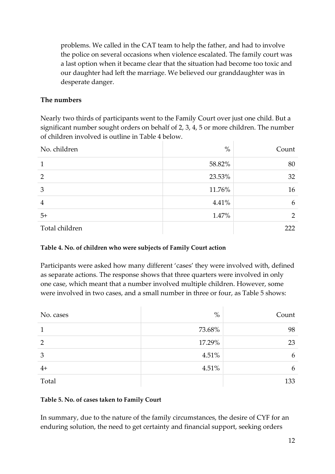problems. We called in the CAT team to help the father, and had to involve the police on several occasions when violence escalated. The family court was a last option when it became clear that the situation had become too toxic and our daughter had left the marriage. We believed our granddaughter was in desperate danger.

## **The numbers**

Nearly two thirds of participants went to the Family Court over just one child. But a significant number sought orders on behalf of 2, 3, 4, 5 or more children. The number of children involved is outline in Table 4 below.

| No. children   | $\%$   | Count |
|----------------|--------|-------|
| 1              | 58.82% | 80    |
| $\overline{2}$ | 23.53% | 32    |
| 3              | 11.76% | 16    |
| $\overline{4}$ | 4.41%  | 6     |
| $5+$           | 1.47%  | 2     |
| Total children |        | 222   |

#### **Table 4. No. of children who were subjects of Family Court action**

Participants were asked how many different 'cases' they were involved with, defined as separate actions. The response shows that three quarters were involved in only one case, which meant that a number involved multiple children. However, some were involved in two cases, and a small number in three or four, as Table 5 shows:

| No. cases | $\%$   | Count |
|-----------|--------|-------|
|           | 73.68% | 98    |
| 2         | 17.29% | 23    |
| 3         | 4.51%  | b     |
| $4+$      | 4.51%  | 6     |
| Total     |        | 133   |

#### **Table 5. No. of cases taken to Family Court**

In summary, due to the nature of the family circumstances, the desire of CYF for an enduring solution, the need to get certainty and financial support, seeking orders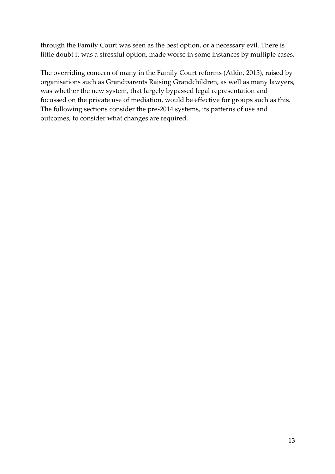through the Family Court was seen as the best option, or a necessary evil. There is little doubt it was a stressful option, made worse in some instances by multiple cases.

The overriding concern of many in the Family Court reforms (Atkin, 2015), raised by organisations such as Grandparents Raising Grandchildren, as well as many lawyers, was whether the new system, that largely bypassed legal representation and focussed on the private use of mediation, would be effective for groups such as this. The following sections consider the pre-2014 systems, its patterns of use and outcomes, to consider what changes are required.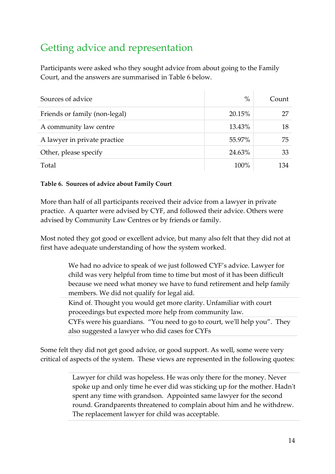# Getting advice and representation

Participants were asked who they sought advice from about going to the Family Court, and the answers are summarised in Table 6 below.

| Sources of advice             | $\%$   | Count |
|-------------------------------|--------|-------|
| Friends or family (non-legal) | 20.15% | 27    |
| A community law centre        | 13.43% | 18    |
| A lawyer in private practice  | 55.97% | 75    |
| Other, please specify         | 24.63% | 33    |
| Total                         | 100%   | 134   |

## **Table 6. Sources of advice about Family Court**

More than half of all participants received their advice from a lawyer in private practice. A quarter were advised by CYF, and followed their advice. Others were advised by Community Law Centres or by friends or family.

Most noted they got good or excellent advice, but many also felt that they did not at first have adequate understanding of how the system worked.

> We had no advice to speak of we just followed CYF's advice. Lawyer for child was very helpful from time to time but most of it has been difficult because we need what money we have to fund retirement and help family members. We did not qualify for legal aid.

Kind of. Thought you would get more clarity. Unfamiliar with court proceedings but expected more help from community law.

CYFs were his guardians. "You need to go to court, we'll help you". They also suggested a lawyer who did cases for CYFs

Some felt they did not get good advice, or good support. As well, some were very critical of aspects of the system. These views are represented in the following quotes:

> Lawyer for child was hopeless. He was only there for the money. Never spoke up and only time he ever did was sticking up for the mother. Hadn't spent any time with grandson. Appointed same lawyer for the second round. Grandparents threatened to complain about him and he withdrew. The replacement lawyer for child was acceptable.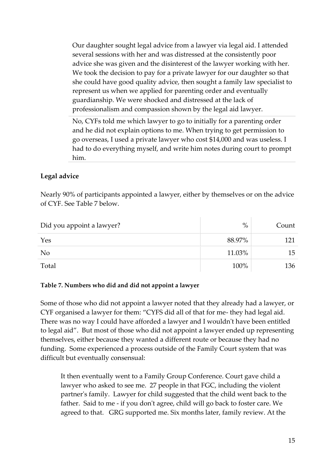Our daughter sought legal advice from a lawyer via legal aid. I attended several sessions with her and was distressed at the consistently poor advice she was given and the disinterest of the lawyer working with her. We took the decision to pay for a private lawyer for our daughter so that she could have good quality advice, then sought a family law specialist to represent us when we applied for parenting order and eventually guardianship. We were shocked and distressed at the lack of professionalism and compassion shown by the legal aid lawyer.

No, CYFs told me which lawyer to go to initially for a parenting order and he did not explain options to me. When trying to get permission to go overseas, I used a private lawyer who cost \$14,000 and was useless. I had to do everything myself, and write him notes during court to prompt him.

## **Legal advice**

Nearly 90% of participants appointed a lawyer, either by themselves or on the advice of CYF. See Table 7 below.

| Did you appoint a lawyer? | $\%$   | Count |  |
|---------------------------|--------|-------|--|
| Yes                       | 88.97% | 121   |  |
| N <sub>o</sub>            | 11.03% | 15    |  |
| Total                     | 100%   | 136   |  |

#### **Table 7. Numbers who did and did not appoint a lawyer**

Some of those who did not appoint a lawyer noted that they already had a lawyer, or CYF organised a lawyer for them: "CYFS did all of that for me- they had legal aid. There was no way I could have afforded a lawyer and I wouldn't have been entitled to legal aid". But most of those who did not appoint a lawyer ended up representing themselves, either because they wanted a different route or because they had no funding. Some experienced a process outside of the Family Court system that was difficult but eventually consensual:

It then eventually went to a Family Group Conference. Court gave child a lawyer who asked to see me. 27 people in that FGC, including the violent partner's family. Lawyer for child suggested that the child went back to the father. Said to me - if you don't agree, child will go back to foster care. We agreed to that. GRG supported me. Six months later, family review. At the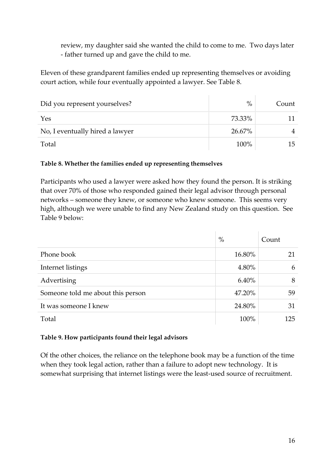review, my daughter said she wanted the child to come to me. Two days later - father turned up and gave the child to me.

Eleven of these grandparent families ended up representing themselves or avoiding court action, while four eventually appointed a lawyer. See Table 8.

| Did you represent yourselves?   | $\%$   | Count |  |
|---------------------------------|--------|-------|--|
| Yes                             | 73.33% |       |  |
| No, I eventually hired a lawyer | 26.67% |       |  |
| Total                           | 100%   | 15    |  |

#### **Table 8. Whether the families ended up representing themselves**

Participants who used a lawyer were asked how they found the person. It is striking that over 70% of those who responded gained their legal advisor through personal networks – someone they knew, or someone who knew someone. This seems very high, although we were unable to find any New Zealand study on this question. See Table 9 below:

|                                   | $\%$     | Count |
|-----------------------------------|----------|-------|
| Phone book                        | 16.80%   | 21    |
| Internet listings                 | 4.80%    | 6     |
| Advertising                       | $6.40\%$ | 8     |
| Someone told me about this person | 47.20%   | 59    |
| It was someone I knew             | 24.80%   | 31    |
| Total                             | 100%     | 125   |

#### **Table 9. How participants found their legal advisors**

Of the other choices, the reliance on the telephone book may be a function of the time when they took legal action, rather than a failure to adopt new technology. It is somewhat surprising that internet listings were the least-used source of recruitment.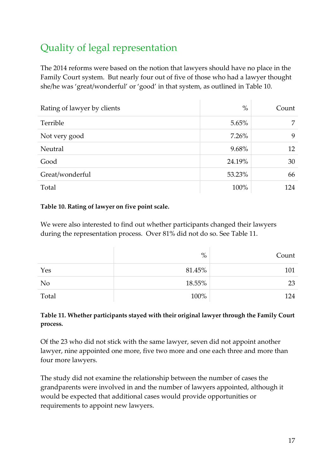# Quality of legal representation

The 2014 reforms were based on the notion that lawyers should have no place in the Family Court system. But nearly four out of five of those who had a lawyer thought she/he was 'great/wonderful' or 'good' in that system, as outlined in Table 10.

| Rating of lawyer by clients | $\%$     | Count |
|-----------------------------|----------|-------|
| Terrible                    | $5.65\%$ | 7     |
| Not very good               | $7.26\%$ | 9     |
| Neutral                     | 9.68%    | 12    |
| Good                        | 24.19%   | 30    |
| Great/wonderful             | 53.23%   | 66    |
| Total                       | 100%     | 124   |

## **Table 10. Rating of lawyer on five point scale.**

We were also interested to find out whether participants changed their lawyers during the representation process. Over 81% did not do so. See Table 11.

|                | $\%$   | Count |
|----------------|--------|-------|
| Yes            | 81.45% | 101   |
| N <sub>o</sub> | 18.55% | 23    |
| Total          | 100%   | 124   |

## **Table 11. Whether participants stayed with their original lawyer through the Family Court process.**

Of the 23 who did not stick with the same lawyer, seven did not appoint another lawyer, nine appointed one more, five two more and one each three and more than four more lawyers.

The study did not examine the relationship between the number of cases the grandparents were involved in and the number of lawyers appointed, although it would be expected that additional cases would provide opportunities or requirements to appoint new lawyers.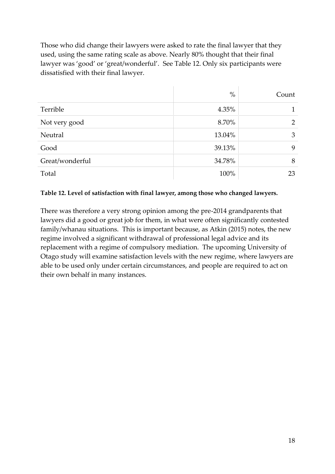Those who did change their lawyers were asked to rate the final lawyer that they used, using the same rating scale as above. Nearly 80% thought that their final lawyer was 'good' or 'great/wonderful'. See Table 12. Only six participants were dissatisfied with their final lawyer.

|                 | $\%$   | Count          |
|-----------------|--------|----------------|
| Terrible        | 4.35%  |                |
| Not very good   | 8.70%  | $\overline{2}$ |
| Neutral         | 13.04% | 3              |
| Good            | 39.13% | 9              |
| Great/wonderful | 34.78% | 8              |
| Total           | 100%   | 23             |

#### **Table 12. Level of satisfaction with final lawyer, among those who changed lawyers.**

There was therefore a very strong opinion among the pre-2014 grandparents that lawyers did a good or great job for them, in what were often significantly contested family/whanau situations. This is important because, as Atkin (2015) notes, the new regime involved a significant withdrawal of professional legal advice and its replacement with a regime of compulsory mediation. The upcoming University of Otago study will examine satisfaction levels with the new regime, where lawyers are able to be used only under certain circumstances, and people are required to act on their own behalf in many instances.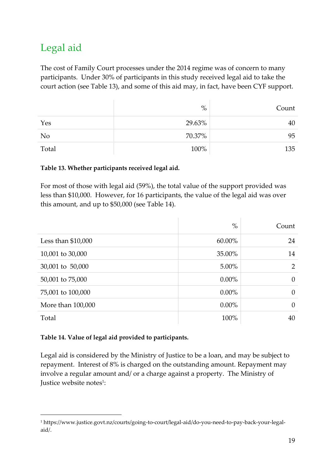## Legal aid

The cost of Family Court processes under the 2014 regime was of concern to many participants. Under 30% of participants in this study received legal aid to take the court action (see Table 13), and some of this aid may, in fact, have been CYF support.

|                | $\%$   | Count |
|----------------|--------|-------|
| Yes            | 29.63% | 40    |
| N <sub>o</sub> | 70.37% | 95    |
| Total          | 100%   | 135   |

#### **Table 13. Whether participants received legal aid.**

For most of those with legal aid (59%), the total value of the support provided was less than \$10,000. However, for 16 participants, the value of the legal aid was over this amount, and up to \$50,000 (see Table 14).

|                     | $\%$     | Count          |
|---------------------|----------|----------------|
| Less than $$10,000$ | 60.00%   | 24             |
| 10,001 to 30,000    | 35.00%   | 14             |
| 30,001 to 50,000    | 5.00%    | $\overline{2}$ |
| 50,001 to 75,000    | $0.00\%$ | $\theta$       |
| 75,001 to 100,000   | $0.00\%$ | $\theta$       |
| More than 100,000   | $0.00\%$ | $\overline{0}$ |
| Total               | 100%     | 40             |

## **Table 14. Value of legal aid provided to participants.**

Legal aid is considered by the Ministry of Justice to be a loan, and may be subject to repayment. Interest of 8% is charged on the outstanding amount. Repayment may involve a regular amount and/ or a charge against a property. The Ministry of Justice website notes<sup>1</sup>:

<sup>1</sup> https://www.justice.govt.nz/courts/going-to-court/legal-aid/do-you-need-to-pay-back-your-legal aid/.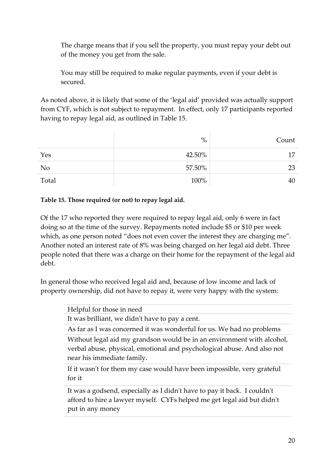The charge means that if you sell the property, you must repay your debt out of the money you get from the sale.

You may still be required to make regular payments, even if your debt is secured.

As noted above, it is likely that some of the 'legal aid' provided was actually support from CYF, which is not subject to repayment. In effect, only 17 participants reported having to repay legal aid, as outlined in Table 15.

|                | $\%$   | Count |
|----------------|--------|-------|
| Yes            | 42.50% | 17    |
| N <sub>0</sub> | 57.50% | 23    |
| Total          | 100%   | 40    |

## **Table 15. Those required (or not) to repay legal aid.**

Of the 17 who reported they were required to repay legal aid, only 6 were in fact doing so at the time of the survey. Repayments noted include \$5 or \$10 per week which, as one person noted "does not even cover the interest they are charging me". Another noted an interest rate of 8% was being charged on her legal aid debt. Three people noted that there was a charge on their home for the repayment of the legal aid debt.

In general those who received legal aid and, because of low income and lack of property ownership, did not have to repay it, were very happy with the system:

| Helpful for those in need                                                                                                                                                       |
|---------------------------------------------------------------------------------------------------------------------------------------------------------------------------------|
| It was brilliant, we didn't have to pay a cent.                                                                                                                                 |
| As far as I was concerned it was wonderful for us. We had no problems                                                                                                           |
| Without legal aid my grandson would be in an environment with alcohol,<br>verbal abuse, physical, emotional and psychological abuse. And also not<br>near his immediate family. |
| If it wasn't for them my case would have been impossible, very grateful<br>for it                                                                                               |
| It was a godsend, especially as I didn't have to pay it back. I couldn't<br>afford to hire a lawyer myself. CYFs helped me get legal aid but didn't<br>put in any money         |
|                                                                                                                                                                                 |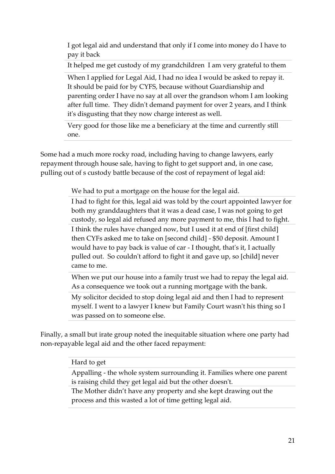I got legal aid and understand that only if I come into money do I have to pay it back

It helped me get custody of my grandchildren I am very grateful to them

When I applied for Legal Aid, I had no idea I would be asked to repay it. It should be paid for by CYFS, because without Guardianship and parenting order I have no say at all over the grandson whom I am looking after full time. They didn't demand payment for over 2 years, and I think it's disgusting that they now charge interest as well.

Very good for those like me a beneficiary at the time and currently still one.

Some had a much more rocky road, including having to change lawyers, early repayment through house sale, having to fight to get support and, in one case, pulling out of s custody battle because of the cost of repayment of legal aid:

We had to put a mortgage on the house for the legal aid.

I had to fight for this, legal aid was told by the court appointed lawyer for both my granddaughters that it was a dead case, I was not going to get custody, so legal aid refused any more payment to me, this I had to fight.

I think the rules have changed now, but I used it at end of [first child] then CYFs asked me to take on [second child] - \$50 deposit. Amount I would have to pay back is value of car - I thought, that's it, I actually pulled out. So couldn't afford to fight it and gave up, so [child] never came to me.

When we put our house into a family trust we had to repay the legal aid. As a consequence we took out a running mortgage with the bank.

My solicitor decided to stop doing legal aid and then I had to represent myself. I went to a lawyer I knew but Family Court wasn't his thing so I was passed on to someone else.

Finally, a small but irate group noted the inequitable situation where one party had non-repayable legal aid and the other faced repayment:

#### Hard to get

Appalling - the whole system surrounding it. Families where one parent is raising child they get legal aid but the other doesn't.

The Mother didn't have any property and she kept drawing out the process and this wasted a lot of time getting legal aid.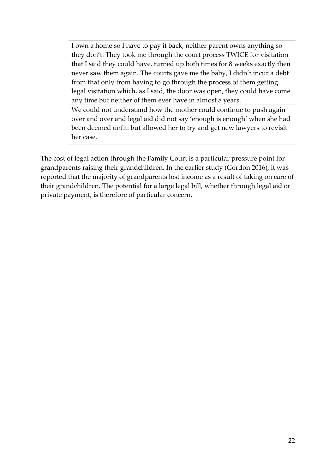I own a home so I have to pay it back, neither parent owns anything so they don't. They took me through the court process TWICE for visitation that I said they could have, turned up both times for 8 weeks exactly then never saw them again. The courts gave me the baby, I didn't incur a debt from that only from having to go through the process of them getting legal visitation which, as I said, the door was open, they could have come any time but neither of them ever have in almost 8 years.

We could not understand how the mother could continue to push again over and over and legal aid did not say 'enough is enough' when she had been deemed unfit. but allowed her to try and get new lawyers to revisit her case.

The cost of legal action through the Family Court is a particular pressure point for grandparents raising their grandchildren. In the earlier study (Gordon 2016), it was reported that the majority of grandparents lost income as a result of taking on care of their grandchildren. The potential for a large legal bill, whether through legal aid or private payment, is therefore of particular concern.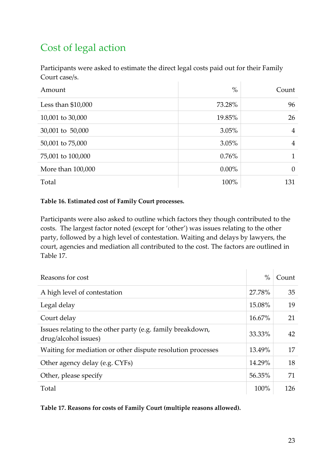# Cost of legal action

Participants were asked to estimate the direct legal costs paid out for their Family Court case/s.

| Amount              | $\%$     | Count          |
|---------------------|----------|----------------|
| Less than $$10,000$ | 73.28%   | 96             |
| 10,001 to 30,000    | 19.85%   | 26             |
| 30,001 to 50,000    | 3.05%    | $\overline{4}$ |
| 50,001 to 75,000    | 3.05%    | $\overline{4}$ |
| 75,001 to 100,000   | 0.76%    | 1              |
| More than 100,000   | $0.00\%$ | $\Omega$       |
| Total               | 100%     | 131            |

#### **Table 16. Estimated cost of Family Court processes.**

Participants were also asked to outline which factors they though contributed to the costs. The largest factor noted (except for 'other') was issues relating to the other party, followed by a high level of contestation. Waiting and delays by lawyers, the court, agencies and mediation all contributed to the cost. The factors are outlined in Table 17.

| Reasons for cost                                                                   | $\%$   | Count |
|------------------------------------------------------------------------------------|--------|-------|
| A high level of contestation                                                       | 27.78% | 35    |
| Legal delay                                                                        | 15.08% | 19    |
| Court delay                                                                        | 16.67% | 21    |
| Issues relating to the other party (e.g. family breakdown,<br>drug/alcohol issues) | 33.33% | 42    |
| Waiting for mediation or other dispute resolution processes                        | 13.49% | 17    |
| Other agency delay (e.g. CYFs)                                                     | 14.29% | 18    |
| Other, please specify                                                              | 56.35% | 71    |
| Total                                                                              | 100%   | 126   |

**Table 17. Reasons for costs of Family Court (multiple reasons allowed).**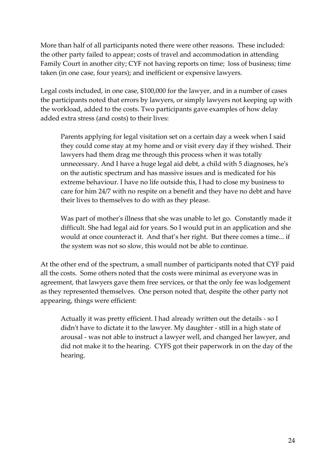More than half of all participants noted there were other reasons. These included: the other party failed to appear; costs of travel and accommodation in attending Family Court in another city; CYF not having reports on time; loss of business; time taken (in one case, four years); and inefficient or expensive lawyers.

Legal costs included, in one case, \$100,000 for the lawyer, and in a number of cases the participants noted that errors by lawyers, or simply lawyers not keeping up with the workload, added to the costs. Two participants gave examples of how delay added extra stress (and costs) to their lives:

Parents applying for legal visitation set on a certain day a week when I said they could come stay at my home and or visit every day if they wished. Their lawyers had them drag me through this process when it was totally unnecessary. And I have a huge legal aid debt, a child with 5 diagnoses, he's on the autistic spectrum and has massive issues and is medicated for his extreme behaviour. I have no life outside this, I had to close my business to care for him 24/7 with no respite on a benefit and they have no debt and have their lives to themselves to do with as they please.

Was part of mother's illness that she was unable to let go. Constantly made it difficult. She had legal aid for years. So I would put in an application and she would at once counteract it. And that's her right. But there comes a time... if the system was not so slow, this would not be able to continue.

At the other end of the spectrum, a small number of participants noted that CYF paid all the costs. Some others noted that the costs were minimal as everyone was in agreement, that lawyers gave them free services, or that the only fee was lodgement as they represented themselves. One person noted that, despite the other party not appearing, things were efficient:

Actually it was pretty efficient. I had already written out the details - so I didn't have to dictate it to the lawyer. My daughter - still in a high state of arousal - was not able to instruct a lawyer well, and changed her lawyer, and did not make it to the hearing. CYFS got their paperwork in on the day of the hearing.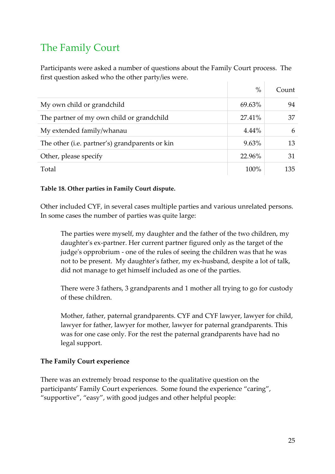## The Family Court

Participants were asked a number of questions about the Family Court process. The first question asked who the other party/ies were.  $\mathbb{R}^n$  .  $\mathbb{R}^n$ 

|                                                | $\%$     | Count |
|------------------------------------------------|----------|-------|
| My own child or grandchild                     | 69.63%   | 94    |
| The partner of my own child or grandchild      | 27.41%   | 37    |
| My extended family/whanau                      | $4.44\%$ | 6     |
| The other (i.e. partner's) grandparents or kin | $9.63\%$ | 13    |
| Other, please specify                          | 22.96%   | 31    |
| Total                                          | 100%     | 135   |

## **Table 18. Other parties in Family Court dispute.**

Other included CYF, in several cases multiple parties and various unrelated persons. In some cases the number of parties was quite large:

The parties were myself, my daughter and the father of the two children, my daughter's ex-partner. Her current partner figured only as the target of the judge's opprobrium - one of the rules of seeing the children was that he was not to be present. My daughter's father, my ex-husband, despite a lot of talk, did not manage to get himself included as one of the parties.

There were 3 fathers, 3 grandparents and 1 mother all trying to go for custody of these children.

Mother, father, paternal grandparents. CYF and CYF lawyer, lawyer for child, lawyer for father, lawyer for mother, lawyer for paternal grandparents. This was for one case only. For the rest the paternal grandparents have had no legal support.

## **The Family Court experience**

There was an extremely broad response to the qualitative question on the participants' Family Court experiences. Some found the experience "caring", "supportive", "easy", with good judges and other helpful people: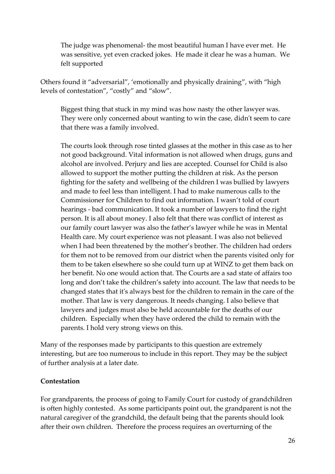The judge was phenomenal- the most beautiful human I have ever met. He was sensitive, yet even cracked jokes. He made it clear he was a human. We felt supported

Others found it "adversarial", 'emotionally and physically draining", with "high levels of contestation", "costly" and "slow".

Biggest thing that stuck in my mind was how nasty the other lawyer was. They were only concerned about wanting to win the case, didn't seem to care that there was a family involved.

The courts look through rose tinted glasses at the mother in this case as to her not good background. Vital information is not allowed when drugs, guns and alcohol are involved. Perjury and lies are accepted. Counsel for Child is also allowed to support the mother putting the children at risk. As the person fighting for the safety and wellbeing of the children I was bullied by lawyers and made to feel less than intelligent. I had to make numerous calls to the Commissioner for Children to find out information. I wasn't told of court hearings - bad communication. It took a number of lawyers to find the right person. It is all about money. I also felt that there was conflict of interest as our family court lawyer was also the father's lawyer while he was in Mental Health care. My court experience was not pleasant. I was also not believed when I had been threatened by the mother's brother. The children had orders for them not to be removed from our district when the parents visited only for them to be taken elsewhere so she could turn up at WINZ to get them back on her benefit. No one would action that. The Courts are a sad state of affairs too long and don't take the children's safety into account. The law that needs to be changed states that it's always best for the children to remain in the care of the mother. That law is very dangerous. It needs changing. I also believe that lawyers and judges must also be held accountable for the deaths of our children. Especially when they have ordered the child to remain with the parents. I hold very strong views on this.

Many of the responses made by participants to this question are extremely interesting, but are too numerous to include in this report. They may be the subject of further analysis at a later date.

#### **Contestation**

For grandparents, the process of going to Family Court for custody of grandchildren is often highly contested. As some participants point out, the grandparent is not the natural caregiver of the grandchild, the default being that the parents should look after their own children. Therefore the process requires an overturning of the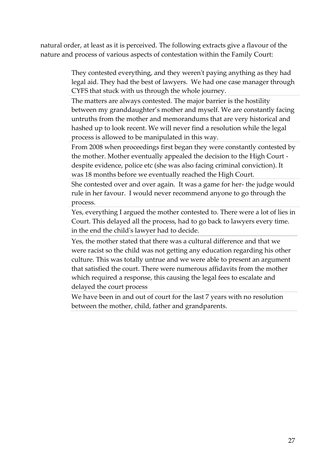natural order, at least as it is perceived. The following extracts give a flavour of the nature and process of various aspects of contestation within the Family Court:

> They contested everything, and they weren't paying anything as they had legal aid. They had the best of lawyers. We had one case manager through CYFS that stuck with us through the whole journey.

> The matters are always contested. The major barrier is the hostility between my granddaughter's mother and myself. We are constantly facing untruths from the mother and memorandums that are very historical and hashed up to look recent. We will never find a resolution while the legal process is allowed to be manipulated in this way.

> From 2008 when proceedings first began they were constantly contested by the mother. Mother eventually appealed the decision to the High Court despite evidence, police etc (she was also facing criminal conviction). It was 18 months before we eventually reached the High Court.

> She contested over and over again. It was a game for her- the judge would rule in her favour. I would never recommend anyone to go through the process.

> Yes, everything I argued the mother contested to. There were a lot of lies in Court. This delayed all the process, had to go back to lawyers every time. in the end the child's lawyer had to decide.

Yes, the mother stated that there was a cultural difference and that we were racist so the child was not getting any education regarding his other culture. This was totally untrue and we were able to present an argument that satisfied the court. There were numerous affidavits from the mother which required a response, this causing the legal fees to escalate and delayed the court process

We have been in and out of court for the last 7 years with no resolution between the mother, child, father and grandparents.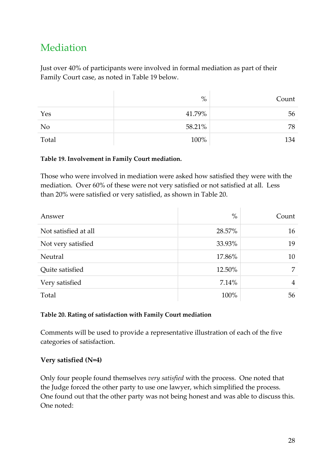## Mediation

Just over 40% of participants were involved in formal mediation as part of their Family Court case, as noted in Table 19 below.

|                | $\%$   | Count |
|----------------|--------|-------|
| Yes            | 41.79% | 56    |
| N <sub>o</sub> | 58.21% | 78    |
| Total          | 100%   | 134   |

#### **Table 19. Involvement in Family Court mediation.**

Those who were involved in mediation were asked how satisfied they were with the mediation. Over 60% of these were not very satisfied or not satisfied at all. Less than 20% were satisfied or very satisfied, as shown in Table 20.

| Answer               | $\%$   | Count          |
|----------------------|--------|----------------|
| Not satisfied at all | 28.57% | 16             |
| Not very satisfied   | 33.93% | 19             |
| Neutral              | 17.86% | 10             |
| Quite satisfied      | 12.50% | 7              |
| Very satisfied       | 7.14%  | $\overline{4}$ |
| Total                | 100%   | 56             |

## **Table 20. Rating of satisfaction with Family Court mediation**

Comments will be used to provide a representative illustration of each of the five categories of satisfaction.

## **Very satisfied (N=4)**

Only four people found themselves *very satisfied* with the process. One noted that the Judge forced the other party to use one lawyer, which simplified the process. One found out that the other party was not being honest and was able to discuss this. One noted: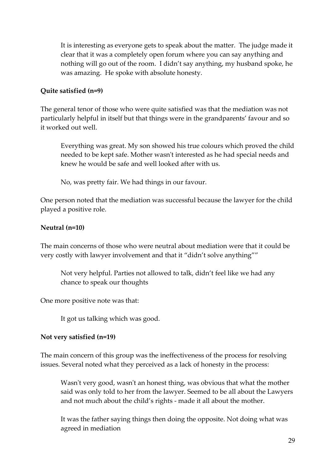It is interesting as everyone gets to speak about the matter. The judge made it clear that it was a completely open forum where you can say anything and nothing will go out of the room. I didn't say anything, my husband spoke, he was amazing. He spoke with absolute honesty.

## **Quite satisfied (n=9)**

The general tenor of those who were quite satisfied was that the mediation was not particularly helpful in itself but that things were in the grandparents' favour and so it worked out well.

Everything was great. My son showed his true colours which proved the child needed to be kept safe. Mother wasn't interested as he had special needs and knew he would be safe and well looked after with us.

No, was pretty fair. We had things in our favour.

One person noted that the mediation was successful because the lawyer for the child played a positive role.

## **Neutral (n=10)**

The main concerns of those who were neutral about mediation were that it could be very costly with lawyer involvement and that it "didn't solve anything""

Not very helpful. Parties not allowed to talk, didn't feel like we had any chance to speak our thoughts

One more positive note was that:

It got us talking which was good.

## **Not very satisfied (n=19)**

The main concern of this group was the ineffectiveness of the process for resolving issues. Several noted what they perceived as a lack of honesty in the process:

Wasn't very good, wasn't an honest thing, was obvious that what the mother said was only told to her from the lawyer. Seemed to be all about the Lawyers and not much about the child's rights - made it all about the mother.

It was the father saying things then doing the opposite. Not doing what was agreed in mediation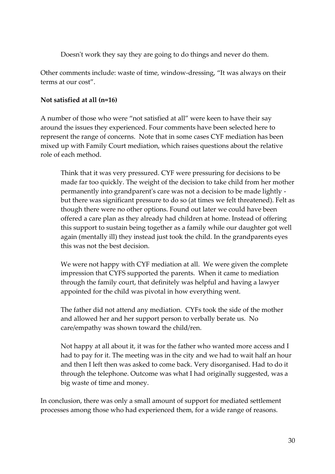Doesn't work they say they are going to do things and never do them.

Other comments include: waste of time, window-dressing, "It was always on their terms at our cost".

## **Not satisfied at all (n=16)**

A number of those who were "not satisfied at all" were keen to have their say around the issues they experienced. Four comments have been selected here to represent the range of concerns. Note that in some cases CYF mediation has been mixed up with Family Court mediation, which raises questions about the relative role of each method.

Think that it was very pressured. CYF were pressuring for decisions to be made far too quickly. The weight of the decision to take child from her mother permanently into grandparent's care was not a decision to be made lightly but there was significant pressure to do so (at times we felt threatened). Felt as though there were no other options. Found out later we could have been offered a care plan as they already had children at home. Instead of offering this support to sustain being together as a family while our daughter got well again (mentally ill) they instead just took the child. In the grandparents eyes this was not the best decision.

We were not happy with CYF mediation at all. We were given the complete impression that CYFS supported the parents. When it came to mediation through the family court, that definitely was helpful and having a lawyer appointed for the child was pivotal in how everything went.

The father did not attend any mediation. CYFs took the side of the mother and allowed her and her support person to verbally berate us. No care/empathy was shown toward the child/ren.

Not happy at all about it, it was for the father who wanted more access and I had to pay for it. The meeting was in the city and we had to wait half an hour and then I left then was asked to come back. Very disorganised. Had to do it through the telephone. Outcome was what I had originally suggested, was a big waste of time and money.

In conclusion, there was only a small amount of support for mediated settlement processes among those who had experienced them, for a wide range of reasons.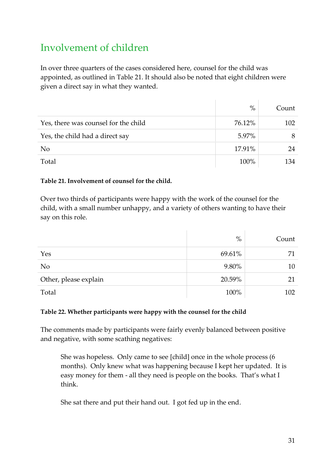## Involvement of children

In over three quarters of the cases considered here, counsel for the child was appointed, as outlined in Table 21. It should also be noted that eight children were given a direct say in what they wanted.

|                                      | $\%$   | Count |
|--------------------------------------|--------|-------|
| Yes, there was counsel for the child | 76.12% | 102   |
| Yes, the child had a direct say      | 5.97%  |       |
| N <sub>o</sub>                       | 17.91% | 24    |
| Total                                | 100%   | 134   |

## **Table 21. Involvement of counsel for the child.**

Over two thirds of participants were happy with the work of the counsel for the child, with a small number unhappy, and a variety of others wanting to have their say on this role.

|                       | $\%$   | Count |
|-----------------------|--------|-------|
| Yes                   | 69.61% | 71    |
| N <sub>o</sub>        | 9.80%  | 10    |
| Other, please explain | 20.59% | 21    |
| Total                 | 100%   | 102   |

## **Table 22. Whether participants were happy with the counsel for the child**

The comments made by participants were fairly evenly balanced between positive and negative, with some scathing negatives:

She was hopeless. Only came to see [child] once in the whole process (6 months). Only knew what was happening because I kept her updated. It is easy money for them - all they need is people on the books. That's what I think.

She sat there and put their hand out. I got fed up in the end.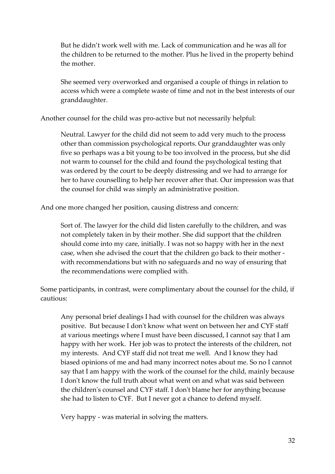But he didn't work well with me. Lack of communication and he was all for the children to be returned to the mother. Plus he lived in the property behind the mother.

She seemed very overworked and organised a couple of things in relation to access which were a complete waste of time and not in the best interests of our granddaughter.

Another counsel for the child was pro-active but not necessarily helpful:

Neutral. Lawyer for the child did not seem to add very much to the process other than commission psychological reports. Our granddaughter was only five so perhaps was a bit young to be too involved in the process, but she did not warm to counsel for the child and found the psychological testing that was ordered by the court to be deeply distressing and we had to arrange for her to have counselling to help her recover after that. Our impression was that the counsel for child was simply an administrative position.

And one more changed her position, causing distress and concern:

Sort of. The lawyer for the child did listen carefully to the children, and was not completely taken in by their mother. She did support that the children should come into my care, initially. I was not so happy with her in the next case, when she advised the court that the children go back to their mother with recommendations but with no safeguards and no way of ensuring that the recommendations were complied with.

Some participants, in contrast, were complimentary about the counsel for the child, if cautious:

Any personal brief dealings I had with counsel for the children was always positive. But because I don't know what went on between her and CYF staff at various meetings where I must have been discussed, I cannot say that I am happy with her work. Her job was to protect the interests of the children, not my interests. And CYF staff did not treat me well. And I know they had biased opinions of me and had many incorrect notes about me. So no I cannot say that I am happy with the work of the counsel for the child, mainly because I don't know the full truth about what went on and what was said between the children's counsel and CYF staff. I don't blame her for anything because she had to listen to CYF. But I never got a chance to defend myself.

Very happy - was material in solving the matters.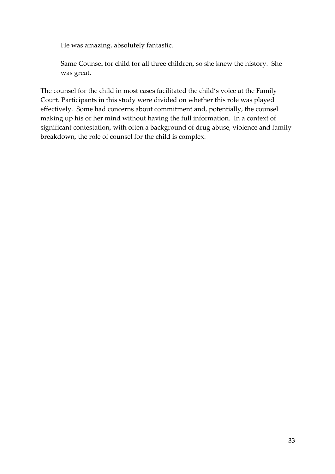He was amazing, absolutely fantastic.

Same Counsel for child for all three children, so she knew the history. She was great.

The counsel for the child in most cases facilitated the child's voice at the Family Court. Participants in this study were divided on whether this role was played effectively. Some had concerns about commitment and, potentially, the counsel making up his or her mind without having the full information. In a context of significant contestation, with often a background of drug abuse, violence and family breakdown, the role of counsel for the child is complex.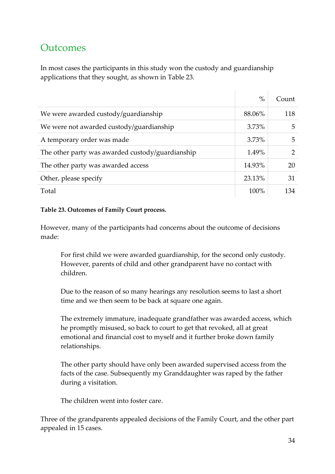## **Outcomes**

In most cases the participants in this study won the custody and guardianship applications that they sought, as shown in Table 23.

|                                                  | $\%$     | Count |
|--------------------------------------------------|----------|-------|
| We were awarded custody/guardianship             | 88.06%   | 118   |
| We were not awarded custody/guardianship         | 3.73%    | 5     |
| A temporary order was made                       | $3.73\%$ | 5     |
| The other party was awarded custody/guardianship | 1.49%    | 2     |
| The other party was awarded access               | 14.93%   | 20    |
| Other, please specify                            | 23.13%   | 31    |
| Total                                            | 100%     | 134   |

#### **Table 23. Outcomes of Family Court process.**

However, many of the participants had concerns about the outcome of decisions made:

For first child we were awarded guardianship, for the second only custody. However, parents of child and other grandparent have no contact with children.

Due to the reason of so many hearings any resolution seems to last a short time and we then seem to be back at square one again.

The extremely immature, inadequate grandfather was awarded access, which he promptly misused, so back to court to get that revoked, all at great emotional and financial cost to myself and it further broke down family relationships.

The other party should have only been awarded supervised access from the facts of the case. Subsequently my Granddaughter was raped by the father during a visitation.

The children went into foster care.

Three of the grandparents appealed decisions of the Family Court, and the other part appealed in 15 cases.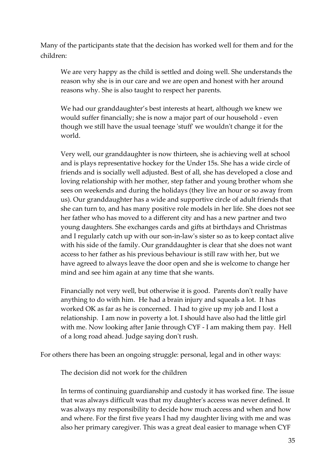Many of the participants state that the decision has worked well for them and for the children:

We are very happy as the child is settled and doing well. She understands the reason why she is in our care and we are open and honest with her around reasons why. She is also taught to respect her parents.

We had our granddaughter's best interests at heart, although we knew we would suffer financially; she is now a major part of our household - even though we still have the usual teenage 'stuff' we wouldn't change it for the world.

Very well, our granddaughter is now thirteen, she is achieving well at school and is plays representative hockey for the Under 15s. She has a wide circle of friends and is socially well adjusted. Best of all, she has developed a close and loving relationship with her mother, step father and young brother whom she sees on weekends and during the holidays (they live an hour or so away from us). Our granddaughter has a wide and supportive circle of adult friends that she can turn to, and has many positive role models in her life. She does not see her father who has moved to a different city and has a new partner and two young daughters. She exchanges cards and gifts at birthdays and Christmas and I regularly catch up with our son-in-law's sister so as to keep contact alive with his side of the family. Our granddaughter is clear that she does not want access to her father as his previous behaviour is still raw with her, but we have agreed to always leave the door open and she is welcome to change her mind and see him again at any time that she wants.

Financially not very well, but otherwise it is good. Parents don't really have anything to do with him. He had a brain injury and squeals a lot. It has worked OK as far as he is concerned. I had to give up my job and I lost a relationship. I am now in poverty a lot. I should have also had the little girl with me. Now looking after Janie through CYF - I am making them pay. Hell of a long road ahead. Judge saying don't rush.

For others there has been an ongoing struggle: personal, legal and in other ways:

The decision did not work for the children

In terms of continuing guardianship and custody it has worked fine. The issue that was always difficult was that my daughter's access was never defined. It was always my responsibility to decide how much access and when and how and where. For the first five years I had my daughter living with me and was also her primary caregiver. This was a great deal easier to manage when CYF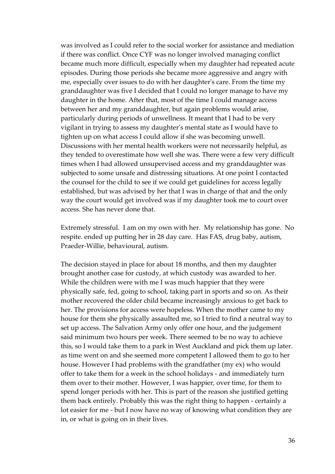was involved as I could refer to the social worker for assistance and mediation if there was conflict. Once CYF was no longer involved managing conflict became much more difficult, especially when my daughter had repeated acute episodes. During those periods she became more aggressive and angry with me, especially over issues to do with her daughter's care. From the time my granddaughter was five I decided that I could no longer manage to have my daughter in the home. After that, most of the time I could manage access between her and my granddaughter, but again problems would arise, particularly during periods of unwellness. It meant that I had to be very vigilant in trying to assess my daughter's mental state as I would have to tighten up on what access I could allow if she was becoming unwell. Discussions with her mental health workers were not necessarily helpful, as they tended to overestimate how well she was. There were a few very difficult times when I had allowed unsupervised access and my granddaughter was subjected to some unsafe and distressing situations. At one point I contacted the counsel for the child to see if we could get guidelines for access legally established, but was advised by her that I was in charge of that and the only way the court would get involved was if my daughter took me to court over access. She has never done that.

Extremely stressful. I am on my own with her. My relationship has gone. No respite. ended up putting her in 28 day care. Has FAS, drug baby, autism, Praeder-Willie, behavioural, autism.

The decision stayed in place for about 18 months, and then my daughter brought another case for custody, at which custody was awarded to her. While the children were with me I was much happier that they were physically safe, fed, going to school, taking part in sports and so on. As their mother recovered the older child became increasingly anxious to get back to her. The provisions for access were hopeless. When the mother came to my house for them she physically assaulted me, so I tried to find a neutral way to set up access. The Salvation Army only offer one hour, and the judgement said minimum two hours per week. There seemed to be no way to achieve this, so I would take them to a park in West Auckland and pick them up later. as time went on and she seemed more competent I allowed them to go to her house. However I had problems with the grandfather (my ex) who would offer to take them for a week in the school holidays - and immediately turn them over to their mother. However, I was happier, over time, for them to spend longer periods with her. This is part of the reason she justified getting them back entirely. Probably this was the right thing to happen - certainly a lot easier for me - but I now have no way of knowing what condition they are in, or what is going on in their lives.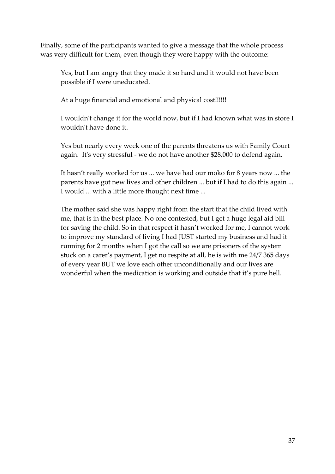Finally, some of the participants wanted to give a message that the whole process was very difficult for them, even though they were happy with the outcome:

Yes, but I am angry that they made it so hard and it would not have been possible if I were uneducated.

At a huge financial and emotional and physical cost!!!!!!

I wouldn't change it for the world now, but if I had known what was in store I wouldn't have done it.

Yes but nearly every week one of the parents threatens us with Family Court again. It's very stressful - we do not have another \$28,000 to defend again.

It hasn't really worked for us ... we have had our moko for 8 years now ... the parents have got new lives and other children ... but if I had to do this again ... I would ... with a little more thought next time ...

The mother said she was happy right from the start that the child lived with me, that is in the best place. No one contested, but I get a huge legal aid bill for saving the child. So in that respect it hasn't worked for me, I cannot work to improve my standard of living I had JUST started my business and had it running for 2 months when I got the call so we are prisoners of the system stuck on a carer's payment, I get no respite at all, he is with me 24/7 365 days of every year BUT we love each other unconditionally and our lives are wonderful when the medication is working and outside that it's pure hell.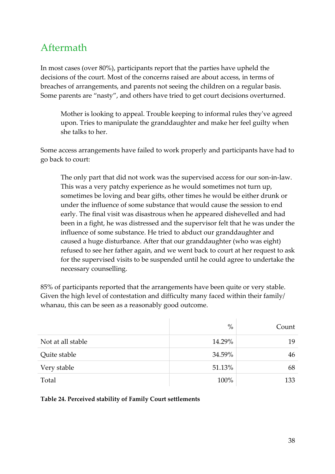## Aftermath

In most cases (over 80%), participants report that the parties have upheld the decisions of the court. Most of the concerns raised are about access, in terms of breaches of arrangements, and parents not seeing the children on a regular basis. Some parents are "nasty", and others have tried to get court decisions overturned.

Mother is looking to appeal. Trouble keeping to informal rules they've agreed upon. Tries to manipulate the granddaughter and make her feel guilty when she talks to her.

Some access arrangements have failed to work properly and participants have had to go back to court:

The only part that did not work was the supervised access for our son-in-law. This was a very patchy experience as he would sometimes not turn up, sometimes be loving and bear gifts, other times he would be either drunk or under the influence of some substance that would cause the session to end early. The final visit was disastrous when he appeared dishevelled and had been in a fight, he was distressed and the supervisor felt that he was under the influence of some substance. He tried to abduct our granddaughter and caused a huge disturbance. After that our granddaughter (who was eight) refused to see her father again, and we went back to court at her request to ask for the supervised visits to be suspended until he could agree to undertake the necessary counselling.

85% of participants reported that the arrangements have been quite or very stable. Given the high level of contestation and difficulty many faced within their family/ whanau, this can be seen as a reasonably good outcome.

|                   | $\%$   | Count |
|-------------------|--------|-------|
| Not at all stable | 14.29% | 19    |
| Quite stable      | 34.59% | 46    |
| Very stable       | 51.13% | 68    |
| Total             | 100%   | 133   |

#### **Table 24. Perceived stability of Family Court settlements**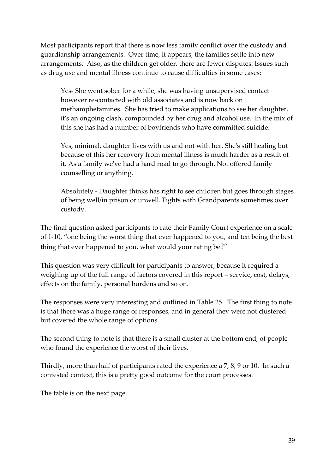Most participants report that there is now less family conflict over the custody and guardianship arrangements. Over time, it appears, the families settle into new arrangements. Also, as the children get older, there are fewer disputes. Issues such as drug use and mental illness continue to cause difficulties in some cases:

Yes- She went sober for a while, she was having unsupervised contact however re-contacted with old associates and is now back on methamphetamines. She has tried to make applications to see her daughter, it's an ongoing clash, compounded by her drug and alcohol use. In the mix of this she has had a number of boyfriends who have committed suicide.

Yes, minimal, daughter lives with us and not with her. She's still healing but because of this her recovery from mental illness is much harder as a result of it. As a family we've had a hard road to go through. Not offered family counselling or anything.

Absolutely - Daughter thinks has right to see children but goes through stages of being well/in prison or unwell. Fights with Grandparents sometimes over custody.

The final question asked participants to rate their Family Court experience on a scale of 1-10, "one being the worst thing that ever happened to you, and ten being the best thing that ever happened to you, what would your rating be?"

This question was very difficult for participants to answer, because it required a weighing up of the full range of factors covered in this report – service, cost, delays, effects on the family, personal burdens and so on.

The responses were very interesting and outlined in Table 25. The first thing to note is that there was a huge range of responses, and in general they were not clustered but covered the whole range of options.

The second thing to note is that there is a small cluster at the bottom end, of people who found the experience the worst of their lives.

Thirdly, more than half of participants rated the experience a 7, 8, 9 or 10. In such a contested context, this is a pretty good outcome for the court processes.

The table is on the next page.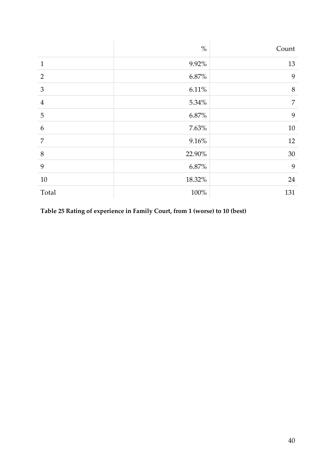|                | $\%$    | Count          |
|----------------|---------|----------------|
| $\mathbf{1}$   | 9.92%   | 13             |
| $\overline{2}$ | 6.87%   | $\mathbf{9}$   |
| 3              | 6.11%   | $8\,$          |
| $\overline{4}$ | 5.34%   | $\overline{7}$ |
| 5              | 6.87%   | 9              |
| 6              | 7.63%   | $10\,$         |
| 7              | 9.16%   | 12             |
| 8              | 22.90%  | $30\,$         |
| 9              | 6.87%   | $\mathbf{9}$   |
| $10\,$         | 18.32%  | 24             |
| Total          | $100\%$ | 131            |

**Table 25 Rating of experience in Family Court, from 1 (worse) to 10 (best)**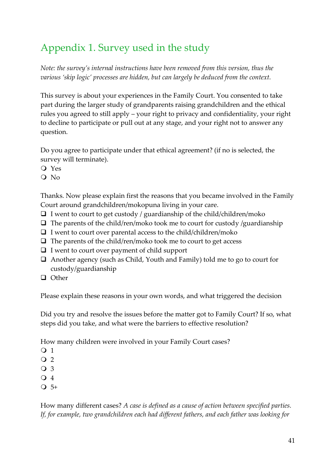# Appendix 1. Survey used in the study

*Note: the survey's internal instructions have been removed from this version, thus the various 'skip logic' processes are hidden, but can largely be deduced from the context.*

This survey is about your experiences in the Family Court. You consented to take part during the larger study of grandparents raising grandchildren and the ethical rules you agreed to still apply – your right to privacy and confidentiality, your right to decline to participate or pull out at any stage, and your right not to answer any question.

Do you agree to participate under that ethical agreement? (if no is selected, the survey will terminate).

- Yes
- Q No

Thanks. Now please explain first the reasons that you became involved in the Family Court around grandchildren/mokopuna living in your care.

- $\Box$  I went to court to get custody / guardianship of the child/children/moko
- $\Box$  The parents of the child/ren/moko took me to court for custody /guardianship
- $\Box$  I went to court over parental access to the child/children/moko
- $\Box$  The parents of the child/ren/moko took me to court to get access
- $\Box$  I went to court over payment of child support
- $\Box$  Another agency (such as Child, Youth and Family) told me to go to court for custody/guardianship
- □ Other

Please explain these reasons in your own words, and what triggered the decision

Did you try and resolve the issues before the matter got to Family Court? If so, what steps did you take, and what were the barriers to effective resolution?

How many children were involved in your Family Court cases?

- $\overline{O}$  1
- $\overline{Q}$  2
- $\Omega$  3
- Q 4
- $\overline{O}$  5+

How many different cases? *A case is defined as a cause of action between specified parties. If, for example, two grandchildren each had different fathers, and each father was looking for*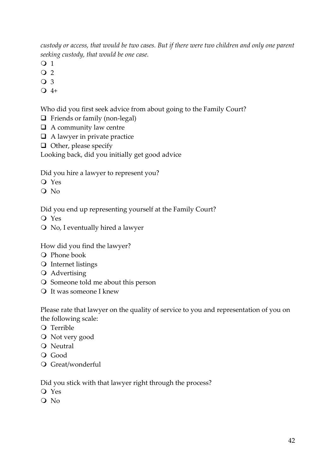*custody or access, that would be two cases. But if there were two children and only one parent seeking custody, that would be one case.*

- O 1
- $\overline{Q}$  2
- O 3
- $\bigcirc$  4+

## Who did you first seek advice from about going to the Family Court?

- □ Friends or family (non-legal)
- $\Box$  A community law centre
- $\Box$  A lawyer in private practice
- $\Box$  Other, please specify

Looking back, did you initially get good advice

Did you hire a lawyer to represent you?

- Yes
- Q No

Did you end up representing yourself at the Family Court?

- Yes
- No, I eventually hired a lawyer

How did you find the lawyer?

- O Phone book
- O Internet listings
- Advertising
- Someone told me about this person
- It was someone I knew

Please rate that lawyer on the quality of service to you and representation of you on the following scale:

- Terrible
- Not very good
- Neutral
- Good
- Great/wonderful

Did you stick with that lawyer right through the process?

- Yes
- Q No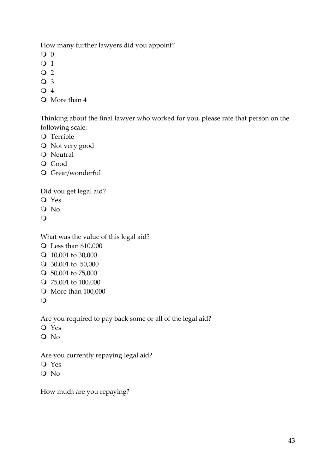How many further lawyers did you appoint?

- $Q<sub>0</sub>$
- $\overline{O}$  1
- $\overline{Q}$  2
- O 3
- O 4
- More than 4

Thinking about the final lawyer who worked for you, please rate that person on the following scale:

- O Terrible
- Not very good
- O Neutral
- O Good
- O Great/wonderful

Did you get legal aid?

- Yes
- O No
- $\bigcirc$

What was the value of this legal aid?

- Less than \$10,000
- 10,001 to 30,000
- 30,001 to 50,000
- 50,001 to 75,000
- 75,001 to 100,000
- O More than 100,000
- $\overline{O}$

Are you required to pay back some or all of the legal aid?

- Yes
- Q No

Are you currently repaying legal aid?

- Yes
- Q No

How much are you repaying?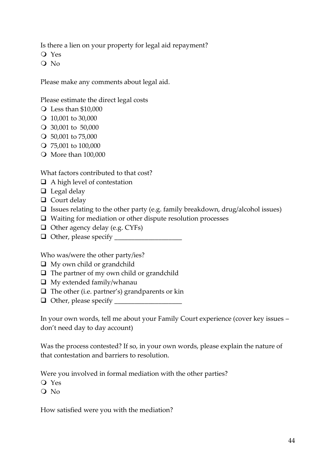Is there a lien on your property for legal aid repayment?

Yes

Q No

Please make any comments about legal aid.

Please estimate the direct legal costs

- Less than \$10,000
- 10,001 to 30,000
- 30,001 to 50,000
- 50,001 to 75,000
- 75,001 to 100,000
- More than 100,000

What factors contributed to that cost?

- $\Box$  A high level of contestation
- $\Box$  Legal delay
- $\Box$  Court delay
- $\Box$  Issues relating to the other party (e.g. family breakdown, drug/alcohol issues)
- $\Box$  Waiting for mediation or other dispute resolution processes
- $\Box$  Other agency delay (e.g. CYFs)
- $\Box$  Other, please specify  $\Box$

Who was/were the other party/ies?

- $\Box$  My own child or grandchild
- $\Box$  The partner of my own child or grandchild
- $\Box$  My extended family/whanau
- $\Box$  The other (i.e. partner's) grandparents or kin
- $\Box$  Other, please specify  $\Box$

In your own words, tell me about your Family Court experience (cover key issues – don't need day to day account)

Was the process contested? If so, in your own words, please explain the nature of that contestation and barriers to resolution.

Were you involved in formal mediation with the other parties?

- Yes
- Q No

How satisfied were you with the mediation?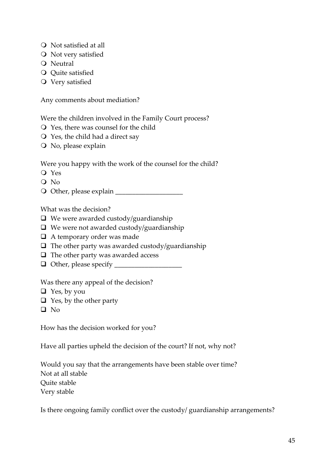- Not satisfied at all
- O Not very satisfied
- Neutral
- Q Quite satisfied
- O Very satisfied

Any comments about mediation?

Were the children involved in the Family Court process?

- Yes, there was counsel for the child
- $\bigcirc$  Yes, the child had a direct say
- O No, please explain

Were you happy with the work of the counsel for the child?

- Yes
- Q No

Other, please explain \_\_\_\_\_\_\_\_\_\_\_\_\_\_\_\_\_\_\_\_

What was the decision?

- $\Box$  We were awarded custody/guardianship
- $\Box$  We were not awarded custody/guardianship
- A temporary order was made
- $\Box$  The other party was awarded custody/guardianship
- $\Box$  The other party was awarded access
- Other, please specify \_\_\_\_\_\_\_\_\_\_\_\_\_\_\_\_\_\_\_\_

Was there any appeal of the decision?

- $\Box$  Yes, by you
- $\Box$  Yes, by the other party
- $\Box$  No

How has the decision worked for you?

Have all parties upheld the decision of the court? If not, why not?

Would you say that the arrangements have been stable over time? Not at all stable Quite stable Very stable

Is there ongoing family conflict over the custody/ guardianship arrangements?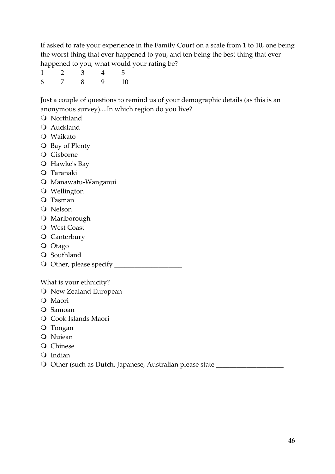If asked to rate your experience in the Family Court on a scale from 1 to 10, one being the worst thing that ever happened to you, and ten being the best thing that ever happened to you, what would your rating be?

| 1 | $\overline{2}$ | $\overline{3}$ |           |  |
|---|----------------|----------------|-----------|--|
| 6 | $\overline{7}$ | - 8 -          | $9 \t 10$ |  |

Just a couple of questions to remind us of your demographic details (as this is an anonymous survey)....In which region do you live?

- Northland
- Auckland
- Waikato
- **O** Bay of Plenty
- Gisborne
- Hawke's Bay
- Taranaki
- Manawatu-Wanganui
- Wellington
- Tasman
- Q Nelson
- O Marlborough
- West Coast
- **O** Canterbury
- O Otago
- O Southland
- Other, please specify \_\_\_\_\_\_\_\_\_\_\_\_\_\_\_\_\_\_\_\_

What is your ethnicity?

- O New Zealand European
- O Maori
- Q Samoan
- Cook Islands Maori
- Tongan
- O Nuiean
- Q Chinese
- Q Indian
- O Other (such as Dutch, Japanese, Australian please state \_\_\_\_\_\_\_\_\_\_\_\_\_\_\_\_\_\_\_\_\_\_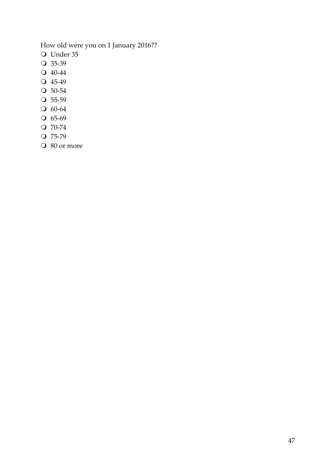## How old were you on 1 January 2016??

- Under 35
- O 35-39
- 40-44
- Q 45-49
- O 50-54
- $\overline{O}$  55-59
- 60-64
- O 65-69
- O 70-74
- $Q$  75-79
- O 80 or more